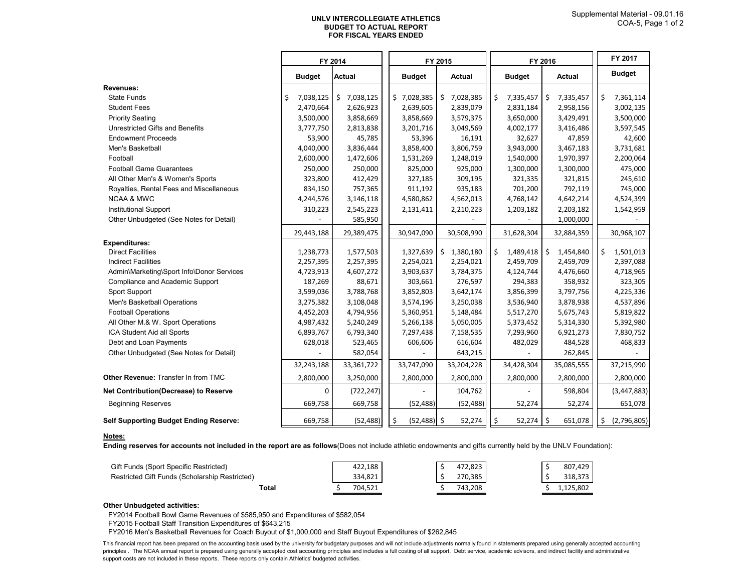## **UNLV INTERCOLLEGIATE ATHLETICS FOR FISCAL YEARS ENDED BUDGET TO ACTUAL REPORT**

|                                               |                 | FY 2014         |                      | FY 2015                          | FY 2016         | FY 2017                       |    |               |
|-----------------------------------------------|-----------------|-----------------|----------------------|----------------------------------|-----------------|-------------------------------|----|---------------|
|                                               | <b>Budget</b>   | <b>Actual</b>   | <b>Budget</b>        | Actual                           | <b>Budget</b>   | Actual                        |    | <b>Budget</b> |
| Revenues:                                     |                 |                 |                      |                                  |                 |                               |    |               |
| <b>State Funds</b>                            | \$<br>7,038,125 | \$<br>7,038,125 | \$7,028,385          | Ŝ.<br>7,028,385                  | \$<br>7,335,457 | \$<br>7,335,457               | \$ | 7,361,114     |
| <b>Student Fees</b>                           | 2,470,664       | 2,626,923       | 2,639,605            | 2,839,079                        | 2,831,184       | 2,958,156                     |    | 3,002,135     |
| <b>Priority Seating</b>                       | 3,500,000       | 3,858,669       | 3,858,669            | 3,579,375                        | 3,650,000       | 3,429,491                     |    | 3,500,000     |
| Unrestricted Gifts and Benefits               | 3,777,750       | 2,813,838       | 3,201,716            | 3,049,569                        | 4,002,177       | 3,416,486                     |    | 3,597,545     |
| <b>Endowment Proceeds</b>                     | 53,900          | 45,785          | 53,396               | 16,191                           | 32,627          | 47,859                        |    | 42,600        |
| Men's Basketball                              | 4,040,000       | 3,836,444       | 3,858,400            | 3,806,759                        | 3,943,000       | 3,467,183                     |    | 3,731,681     |
| Football                                      | 2,600,000       | 1,472,606       | 1,531,269            | 1,248,019                        | 1,540,000       | 1,970,397                     |    | 2,200,064     |
| <b>Football Game Guarantees</b>               | 250,000         | 250,000         | 825,000              | 925,000                          | 1,300,000       | 1,300,000                     |    | 475,000       |
| All Other Men's & Women's Sports              | 323,800         | 412,429         | 327,185              | 309,195                          | 321,335         | 321,815                       |    | 245,610       |
| Royalties, Rental Fees and Miscellaneous      | 834,150         | 757,365         | 911,192              | 935,183                          | 701,200         | 792,119                       |    | 745,000       |
| <b>NCAA &amp; MWC</b>                         | 4,244,576       | 3,146,118       | 4,580,862            | 4,562,013                        | 4,768,142       | 4,642,214                     |    | 4,524,399     |
| <b>Institutional Support</b>                  | 310,223         | 2,545,223       | 2,131,411            | 2,210,223                        | 1,203,182       | 2,203,182                     |    | 1,542,959     |
| Other Unbudgeted (See Notes for Detail)       |                 | 585,950         |                      |                                  |                 | 1,000,000                     |    |               |
|                                               | 29,443,188      | 29,389,475      | 30,947,090           | 30,508,990                       | 31,628,304      | 32,884,359                    |    | 30,968,107    |
| <b>Expenditures:</b>                          |                 |                 |                      |                                  |                 |                               |    |               |
| <b>Direct Facilities</b>                      | 1,238,773       | 1,577,503       | 1,327,639            | $\ddot{\mathsf{S}}$<br>1,380,180 | \$<br>1,489,418 | \$<br>1,454,840               | \$ | 1,501,013     |
| <b>Indirect Facilities</b>                    | 2,257,395       | 2,257,395       | 2,254,021            | 2,254,021                        | 2,459,709       | 2,459,709                     |    | 2,397,088     |
| Admin\Marketing\Sport Info\Donor Services     | 4,723,913       | 4,607,272       | 3,903,637            | 3,784,375                        | 4,124,744       | 4,476,660                     |    | 4,718,965     |
| Compliance and Academic Support               | 187,269         | 88,671          | 303,661              | 276,597                          | 294,383         | 358,932                       |    | 323,305       |
| Sport Support                                 | 3,599,036       | 3,788,768       | 3,852,803            | 3,642,174                        | 3,856,399       | 3,797,756                     |    | 4,225,336     |
| Men's Basketball Operations                   | 3,275,382       | 3,108,048       | 3,574,196            | 3,250,038                        | 3,536,940       | 3,878,938                     |    | 4,537,896     |
| <b>Football Operations</b>                    | 4,452,203       | 4,794,956       | 5,360,951            | 5,148,484                        | 5,517,270       | 5,675,743                     |    | 5,819,822     |
| All Other M.& W. Sport Operations             | 4,987,432       | 5,240,249       | 5,266,138            | 5,050,005                        | 5,373,452       | 5,314,330                     |    | 5,392,980     |
| ICA Student Aid all Sports                    | 6,893,767       | 6,793,340       | 7,297,438            | 7,158,535                        | 7,293,960       | 6,921,273                     |    | 7,830,752     |
| Debt and Loan Payments                        | 628,018         | 523,465         | 606,606              | 616,604                          | 482,029         | 484,528                       |    | 468,833       |
| Other Unbudgeted (See Notes for Detail)       |                 | 582,054         |                      | 643,215                          |                 | 262,845                       |    |               |
|                                               | 32,243,188      | 33,361,722      | 33,747,090           | 33,204,228                       | 34,428,304      | 35,085,555                    |    | 37,215,990    |
| Other Revenue: Transfer In from TMC           | 2,800,000       | 3,250,000       | 2,800,000            | 2,800,000                        | 2,800,000       | 2,800,000                     |    | 2,800,000     |
| Net Contribution(Decrease) to Reserve         | 0               | (722, 247)      |                      | 104,762                          |                 | 598,804                       |    | (3,447,883)   |
| <b>Beginning Reserves</b>                     | 669,758         | 669,758         | (52, 488)            | (52, 488)                        | 52,274          | 52,274                        |    | 651,078       |
| <b>Self Supporting Budget Ending Reserve:</b> | 669,758         | (52, 488)       | \$<br>$(52, 488)$ \$ | 52,274                           | \$<br>52,274    | $\ddot{\varsigma}$<br>651,078 | \$ | (2,796,805)   |

## **Notes:**

**Ending reserves for accounts not included in the report are as follows**(Does not include athletic endowments and gifts currently held by the UNLV Foundation):

| Gift Funds (Sport Specific Restricted)         | 422,188 | 472,823 | 807,429   |
|------------------------------------------------|---------|---------|-----------|
| Restricted Gift Funds (Scholarship Restricted) | 334.821 | 270.385 | 318.373   |
| Total                                          | 704.521 | 743.208 | 1.125.802 |

## **Other Unbudgeted activities:**

FY2014 Football Bowl Game Revenues of \$585,950 and Expenditures of \$582,054

FY2015 Football Staff Transition Expenditures of \$643,215

FY2016 Men's Basketball Revenues for Coach Buyout of \$1,000,000 and Staff Buyout Expenditures of \$262,845

This financial report has been prepared on the accounting basis used by the university for budgetary purposes and will not include adjustments normally found in statements prepared using generally accepted accounting principles . The NCAA annual report is prepared using generally accepted cost accounting principles and includes a full costing of all support. Debt service, academic advisors, and indirect facility and administrative support costs are not included in these reports. These reports only contain Athletics' budgeted activities.